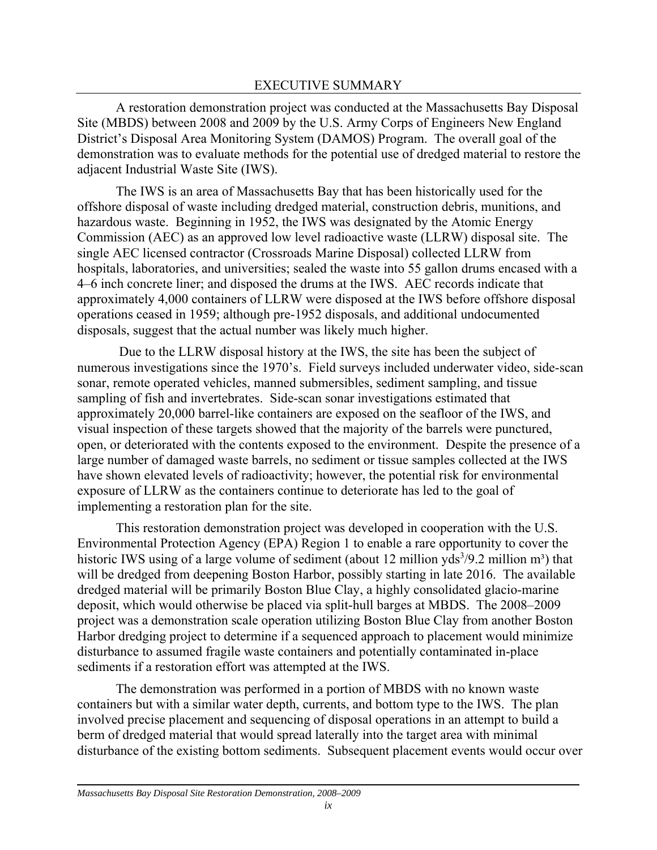A restoration demonstration project was conducted at the Massachusetts Bay Disposal Site (MBDS) between 2008 and 2009 by the U.S. Army Corps of Engineers New England District's Disposal Area Monitoring System (DAMOS) Program. The overall goal of the demonstration was to evaluate methods for the potential use of dredged material to restore the adjacent Industrial Waste Site (IWS).

The IWS is an area of Massachusetts Bay that has been historically used for the offshore disposal of waste including dredged material, construction debris, munitions, and hazardous waste. Beginning in 1952, the IWS was designated by the Atomic Energy Commission (AEC) as an approved low level radioactive waste (LLRW) disposal site. The single AEC licensed contractor (Crossroads Marine Disposal) collected LLRW from hospitals, laboratories, and universities; sealed the waste into 55 gallon drums encased with a 4–6 inch concrete liner; and disposed the drums at the IWS. AEC records indicate that approximately 4,000 containers of LLRW were disposed at the IWS before offshore disposal operations ceased in 1959; although pre-1952 disposals, and additional undocumented disposals, suggest that the actual number was likely much higher.

 Due to the LLRW disposal history at the IWS, the site has been the subject of numerous investigations since the 1970's. Field surveys included underwater video, side-scan sonar, remote operated vehicles, manned submersibles, sediment sampling, and tissue sampling of fish and invertebrates. Side-scan sonar investigations estimated that approximately 20,000 barrel-like containers are exposed on the seafloor of the IWS, and visual inspection of these targets showed that the majority of the barrels were punctured, open, or deteriorated with the contents exposed to the environment. Despite the presence of a large number of damaged waste barrels, no sediment or tissue samples collected at the IWS have shown elevated levels of radioactivity; however, the potential risk for environmental exposure of LLRW as the containers continue to deteriorate has led to the goal of implementing a restoration plan for the site.

This restoration demonstration project was developed in cooperation with the U.S. Environmental Protection Agency (EPA) Region 1 to enable a rare opportunity to cover the historic IWS using of a large volume of sediment (about 12 million yds<sup>3</sup>/9.2 million m<sup>3</sup>) that will be dredged from deepening Boston Harbor, possibly starting in late 2016. The available dredged material will be primarily Boston Blue Clay, a highly consolidated glacio-marine deposit, which would otherwise be placed via split-hull barges at MBDS. The 2008–2009 project was a demonstration scale operation utilizing Boston Blue Clay from another Boston Harbor dredging project to determine if a sequenced approach to placement would minimize disturbance to assumed fragile waste containers and potentially contaminated in-place sediments if a restoration effort was attempted at the IWS.

The demonstration was performed in a portion of MBDS with no known waste containers but with a similar water depth, currents, and bottom type to the IWS. The plan involved precise placement and sequencing of disposal operations in an attempt to build a berm of dredged material that would spread laterally into the target area with minimal disturbance of the existing bottom sediments. Subsequent placement events would occur over